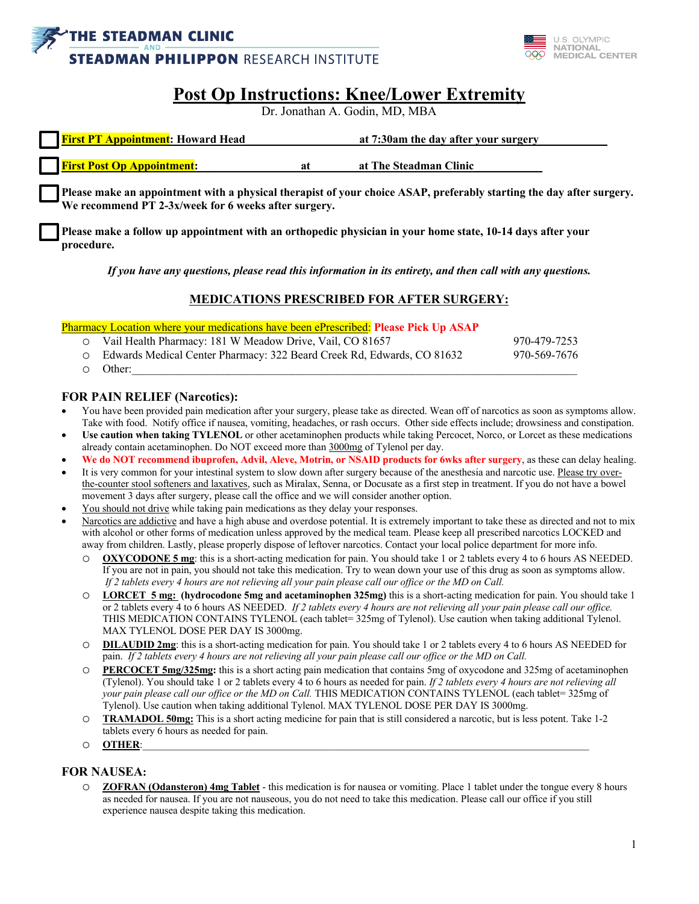



# **Post Op Instructions: Knee/Lower Extremity**

Dr. Jonathan A. Godin, MD, MBA

| <b>First PT Appointment:</b> Howard Head | at 7:30am the day after your surgery |                        |  |
|------------------------------------------|--------------------------------------|------------------------|--|
|                                          |                                      |                        |  |
| <b>First Post Op Appointment:</b>        | <sup>21</sup>                        | at The Steadman Clinic |  |

**Please make an appointment with a physical therapist of your choice ASAP, preferably starting the day after surgery. We recommend PT 2-3x/week for 6 weeks after surgery.**

**Please make a follow up appointment with an orthopedic physician in your home state, 10-14 days after your procedure.**

*If you have any questions, please read this information in its entirety, and then call with any questions.*

### **MEDICATIONS PRESCRIBED FOR AFTER SURGERY:**

Pharmacy Location where your medications have been ePrescribed: **Please Pick Up ASAP**

| O Vail Health Pharmacy: 181 W Meadow Drive, Vail, CO 81657               | 970-479-7253 |
|--------------------------------------------------------------------------|--------------|
| O Edwards Medical Center Pharmacy: 322 Beard Creek Rd, Edwards, CO 81632 | 970-569-7676 |
| $\circ$ Other:                                                           |              |

#### **FOR PAIN RELIEF (Narcotics):**

- You have been provided pain medication after your surgery, please take as directed. Wean off of narcotics as soon as symptoms allow. Take with food. Notify office if nausea, vomiting, headaches, or rash occurs. Other side effects include; drowsiness and constipation.
- **Use caution when taking TYLENOL** or other acetaminophen products while taking Percocet, Norco, or Lorcet as these medications already contain acetaminophen. Do NOT exceed more than 3000mg of Tylenol per day.
- **We do NOT recommend ibuprofen, Advil, Aleve, Motrin, or NSAID products for 6wks after surgery**, as these can delay healing.
- It is very common for your intestinal system to slow down after surgery because of the anesthesia and narcotic use. Please try overthe-counter stool softeners and laxatives, such as Miralax, Senna, or Docusate as a first step in treatment. If you do not have a bowel movement 3 days after surgery, please call the office and we will consider another option.
- You should not drive while taking pain medications as they delay your responses.
- Narcotics are addictive and have a high abuse and overdose potential. It is extremely important to take these as directed and not to mix with alcohol or other forms of medication unless approved by the medical team. Please keep all prescribed narcotics LOCKED and away from children. Lastly, please properly dispose of leftover narcotics. Contact your local police department for more info.
	- o **OXYCODONE 5 mg**: this is a short-acting medication for pain. You should take 1 or 2 tablets every 4 to 6 hours AS NEEDED. If you are not in pain, you should not take this medication. Try to wean down your use of this drug as soon as symptoms allow. *If 2 tablets every 4 hours are not relieving all your pain please call our office or the MD on Call.*
	- o **LORCET 5 mg: (hydrocodone 5mg and acetaminophen 325mg)** this is a short-acting medication for pain. You should take 1 or 2 tablets every 4 to 6 hours AS NEEDED. *If 2 tablets every 4 hours are not relieving all your pain please call our office.*  THIS MEDICATION CONTAINS TYLENOL (each tablet= 325mg of Tylenol). Use caution when taking additional Tylenol. MAX TYLENOL DOSE PER DAY IS 3000mg.
	- **DILAUDID 2mg**: this is a short-acting medication for pain. You should take 1 or 2 tablets every 4 to 6 hours AS NEEDED for pain. *If 2 tablets every 4 hours are not relieving all your pain please call our office or the MD on Call.*
	- o **PERCOCET 5mg/325mg:** this is a short acting pain medication that contains 5mg of oxycodone and 325mg of acetaminophen (Tylenol). You should take 1 or 2 tablets every 4 to 6 hours as needed for pain. *If 2 tablets every 4 hours are not relieving all your pain please call our office or the MD on Call.* THIS MEDICATION CONTAINS TYLENOL (each tablet= 325mg of Tylenol). Use caution when taking additional Tylenol. MAX TYLENOL DOSE PER DAY IS 3000mg.
	- o **TRAMADOL 50mg:** This is a short acting medicine for pain that is still considered a narcotic, but is less potent. Take 1-2 tablets every 6 hours as needed for pain.
	- o **OTHER**:\_\_\_\_\_\_\_\_\_\_\_\_\_\_\_\_\_\_\_\_\_\_\_\_\_\_\_\_\_\_\_\_\_\_\_\_\_\_\_\_\_\_\_\_\_\_\_\_\_\_\_\_\_\_\_\_\_\_\_\_\_\_\_\_\_\_\_\_\_\_\_\_\_\_\_\_\_\_\_\_\_\_\_\_\_\_\_

#### **FOR NAUSEA:**

o **ZOFRAN (Odansteron) 4mg Tablet** - this medication is for nausea or vomiting. Place 1 tablet under the tongue every 8 hours as needed for nausea. If you are not nauseous, you do not need to take this medication. Please call our office if you still experience nausea despite taking this medication.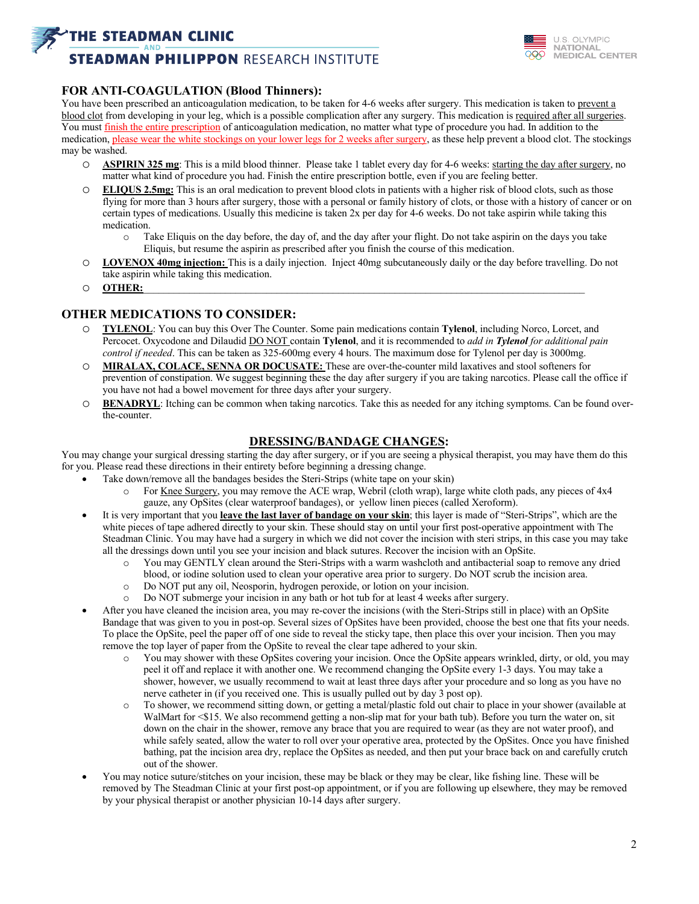## **THE STEADMAN CLINIC**

# **STEADMAN PHILIPPON RESEARCH INSTITUTE**



### **FOR ANTI-COAGULATION (Blood Thinners):**

You have been prescribed an anticoagulation medication, to be taken for 4-6 weeks after surgery. This medication is taken to prevent a blood clot from developing in your leg, which is a possible complication after any surgery. This medication is required after all surgeries. You must finish the entire prescription of anticoagulation medication, no matter what type of procedure you had. In addition to the medication, please wear the white stockings on your lower legs for 2 weeks after surgery, as these help prevent a blood clot. The stockings may be washed.

- o **ASPIRIN 325 mg**: This is a mild blood thinner. Please take 1 tablet every day for 4-6 weeks: starting the day after surgery, no matter what kind of procedure you had. Finish the entire prescription bottle, even if you are feeling better.
- o **ELIQUS 2.5mg:** This is an oral medication to prevent blood clots in patients with a higher risk of blood clots, such as those flying for more than 3 hours after surgery, those with a personal or family history of clots, or those with a history of cancer or on certain types of medications. Usually this medicine is taken 2x per day for 4-6 weeks. Do not take aspirin while taking this medication.
	- o Take Eliquis on the day before, the day of, and the day after your flight. Do not take aspirin on the days you take Eliquis, but resume the aspirin as prescribed after you finish the course of this medication.
- o **LOVENOX 40mg injection:** This is a daily injection. Inject 40mg subcutaneously daily or the day before travelling. Do not take aspirin while taking this medication.
- o **OTHER:**\_\_\_\_\_\_\_\_\_\_\_\_\_\_\_\_\_\_\_\_\_\_\_\_\_\_\_\_\_\_\_\_\_\_\_\_\_\_\_\_\_\_\_\_\_\_\_\_\_\_\_\_\_\_\_\_\_\_\_\_\_\_\_\_\_\_\_\_\_\_\_\_\_\_\_\_\_\_\_\_\_\_\_\_\_\_

### **OTHER MEDICATIONS TO CONSIDER:**

- o **TYLENOL**: You can buy this Over The Counter. Some pain medications contain **Tylenol**, including Norco, Lorcet, and Percocet. Oxycodone and Dilaudid DO NOT contain **Tylenol**, and it is recommended to *add in Tylenol for additional pain control if needed*. This can be taken as 325-600mg every 4 hours. The maximum dose for Tylenol per day is 3000mg.
- o **MIRALAX, COLACE, SENNA OR DOCUSATE:** These are over-the-counter mild laxatives and stool softeners for prevention of constipation. We suggest beginning these the day after surgery if you are taking narcotics. Please call the office if you have not had a bowel movement for three days after your surgery.
- o **BENADRYL**: Itching can be common when taking narcotics. Take this as needed for any itching symptoms. Can be found overthe-counter.

### **DRESSING/BANDAGE CHANGES:**

You may change your surgical dressing starting the day after surgery, or if you are seeing a physical therapist, you may have them do this for you. Please read these directions in their entirety before beginning a dressing change.

- Take down/remove all the bandages besides the Steri-Strips (white tape on your skin)
	- o For Knee Surgery, you may remove the ACE wrap, Webril (cloth wrap), large white cloth pads, any pieces of 4x4 gauze, any OpSites (clear waterproof bandages), or yellow linen pieces (called Xeroform).
- It is very important that you **leave the last layer of bandage on your skin**; this layer is made of "Steri-Strips", which are the white pieces of tape adhered directly to your skin. These should stay on until your first post-operative appointment with The Steadman Clinic. You may have had a surgery in which we did not cover the incision with steri strips, in this case you may take all the dressings down until you see your incision and black sutures. Recover the incision with an OpSite.
	- o You may GENTLY clean around the Steri-Strips with a warm washcloth and antibacterial soap to remove any dried blood, or iodine solution used to clean your operative area prior to surgery. Do NOT scrub the incision area.
	- o Do NOT put any oil, Neosporin, hydrogen peroxide, or lotion on your incision.
	- o Do NOT submerge your incision in any bath or hot tub for at least 4 weeks after surgery.
- After you have cleaned the incision area, you may re-cover the incisions (with the Steri-Strips still in place) with an OpSite Bandage that was given to you in post-op. Several sizes of OpSites have been provided, choose the best one that fits your needs. To place the OpSite, peel the paper off of one side to reveal the sticky tape, then place this over your incision. Then you may remove the top layer of paper from the OpSite to reveal the clear tape adhered to your skin.
	- o You may shower with these OpSites covering your incision. Once the OpSite appears wrinkled, dirty, or old, you may peel it off and replace it with another one. We recommend changing the OpSite every 1-3 days. You may take a shower, however, we usually recommend to wait at least three days after your procedure and so long as you have no nerve catheter in (if you received one. This is usually pulled out by day 3 post op).
	- o To shower, we recommend sitting down, or getting a metal/plastic fold out chair to place in your shower (available at WalMart for <\$15. We also recommend getting a non-slip mat for your bath tub). Before you turn the water on, sit down on the chair in the shower, remove any brace that you are required to wear (as they are not water proof), and while safely seated, allow the water to roll over your operative area, protected by the OpSites. Once you have finished bathing, pat the incision area dry, replace the OpSites as needed, and then put your brace back on and carefully crutch out of the shower.
- You may notice suture/stitches on your incision, these may be black or they may be clear, like fishing line. These will be removed by The Steadman Clinic at your first post-op appointment, or if you are following up elsewhere, they may be removed by your physical therapist or another physician 10-14 days after surgery.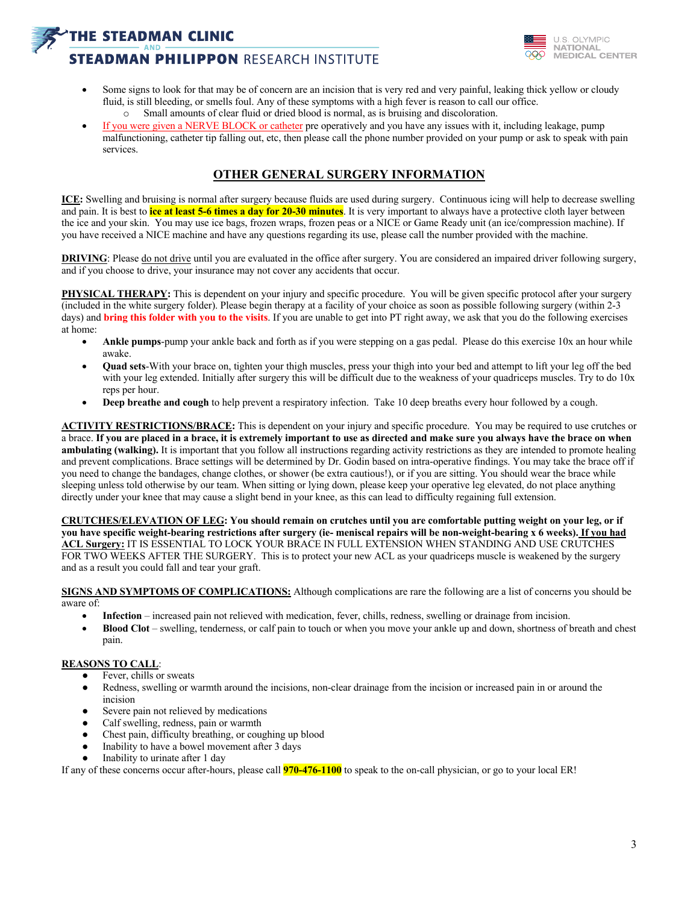# **HE STEADMAN CLINIC STEADMAN PHILIPPON RESEARCH INSTITUTE**



- Some signs to look for that may be of concern are an incision that is very red and very painful, leaking thick yellow or cloudy fluid, is still bleeding, or smells foul. Any of these symptoms with a high fever is reason to call our office. o Small amounts of clear fluid or dried blood is normal, as is bruising and discoloration.
- If you were given a NERVE BLOCK or catheter pre operatively and you have any issues with it, including leakage, pump malfunctioning, catheter tip falling out, etc, then please call the phone number provided on your pump or ask to speak with pain services.

## **OTHER GENERAL SURGERY INFORMATION**

**ICE:** Swelling and bruising is normal after surgery because fluids are used during surgery. Continuous icing will help to decrease swelling and pain. It is best to **ice at least 5-6 times a day for 20-30 minutes**. It is very important to always have a protective cloth layer between the ice and your skin. You may use ice bags, frozen wraps, frozen peas or a NICE or Game Ready unit (an ice/compression machine). If you have received a NICE machine and have any questions regarding its use, please call the number provided with the machine.

**DRIVING**: Please do not drive until you are evaluated in the office after surgery. You are considered an impaired driver following surgery, and if you choose to drive, your insurance may not cover any accidents that occur.

**PHYSICAL THERAPY:** This is dependent on your injury and specific procedure. You will be given specific protocol after your surgery (included in the white surgery folder). Please begin therapy at a facility of your choice as soon as possible following surgery (within 2-3 days) and **bring this folder with you to the visits**. If you are unable to get into PT right away, we ask that you do the following exercises at home:

- **Ankle pumps**-pump your ankle back and forth as if you were stepping on a gas pedal. Please do this exercise 10x an hour while awake.
- **Quad sets**-With your brace on, tighten your thigh muscles, press your thigh into your bed and attempt to lift your leg off the bed with your leg extended. Initially after surgery this will be difficult due to the weakness of your quadriceps muscles. Try to do 10x reps per hour.
- **Deep breathe and cough** to help prevent a respiratory infection. Take 10 deep breaths every hour followed by a cough.

**ACTIVITY RESTRICTIONS/BRACE:** This is dependent on your injury and specific procedure. You may be required to use crutches or a brace. **If you are placed in a brace, it is extremely important to use as directed and make sure you always have the brace on when ambulating (walking).** It is important that you follow all instructions regarding activity restrictions as they are intended to promote healing and prevent complications. Brace settings will be determined by Dr. Godin based on intra-operative findings. You may take the brace off if you need to change the bandages, change clothes, or shower (be extra cautious!), or if you are sitting. You should wear the brace while sleeping unless told otherwise by our team. When sitting or lying down, please keep your operative leg elevated, do not place anything directly under your knee that may cause a slight bend in your knee, as this can lead to difficulty regaining full extension.

**CRUTCHES/ELEVATION OF LEG: You should remain on crutches until you are comfortable putting weight on your leg, or if you have specific weight-bearing restrictions after surgery (ie- meniscal repairs will be non-weight-bearing x 6 weeks). If you had ACL Surgery:** IT IS ESSENTIAL TO LOCK YOUR BRACE IN FULL EXTENSION WHEN STANDING AND USE CRUTCHES FOR TWO WEEKS AFTER THE SURGERY. This is to protect your new ACL as your quadriceps muscle is weakened by the surgery and as a result you could fall and tear your graft.

**SIGNS AND SYMPTOMS OF COMPLICATIONS:** Although complications are rare the following are a list of concerns you should be aware of:

- **Infection** increased pain not relieved with medication, fever, chills, redness, swelling or drainage from incision.
- **Blood Clot** swelling, tenderness, or calf pain to touch or when you move your ankle up and down, shortness of breath and chest pain.

#### **REASONS TO CALL**:

- Fever, chills or sweats
- Redness, swelling or warmth around the incisions, non-clear drainage from the incision or increased pain in or around the incision
- Severe pain not relieved by medications
- Calf swelling, redness, pain or warmth
- Chest pain, difficulty breathing, or coughing up blood
- Inability to have a bowel movement after 3 days
- Inability to urinate after 1 day

If any of these concerns occur after-hours, please call **970-476-1100** to speak to the on-call physician, or go to your local ER!